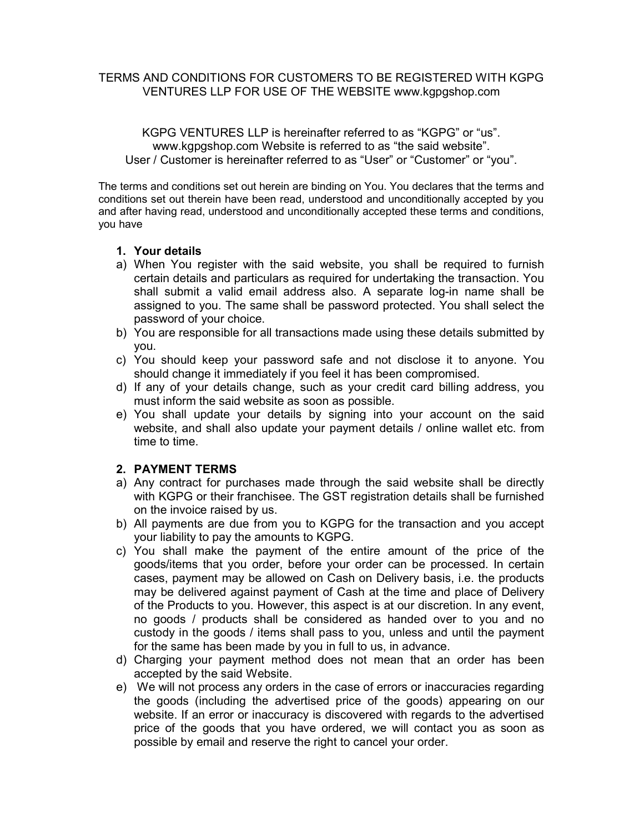## TERMS AND CONDITIONS FOR CUSTOMERS TO BE REGISTERED WITH KGPG VENTURES LLP FOR USE OF THE WEBSITE www.kgpgshop.com

KGPG VENTURES LLP is hereinafter referred to as "KGPG" or "us". www.kgpgshop.com Website is referred to as "the said website". User / Customer is hereinafter referred to as "User" or "Customer" or "you".

The terms and conditions set out herein are binding on You. You declares that the terms and conditions set out therein have been read, understood and unconditionally accepted by you and after having read, understood and unconditionally accepted these terms and conditions, you have

#### 1. Your details

- a) When You register with the said website, you shall be required to furnish certain details and particulars as required for undertaking the transaction. You shall submit a valid email address also. A separate log-in name shall be assigned to you. The same shall be password protected. You shall select the password of your choice.
- b) You are responsible for all transactions made using these details submitted by you.
- c) You should keep your password safe and not disclose it to anyone. You should change it immediately if you feel it has been compromised.
- d) If any of your details change, such as your credit card billing address, you must inform the said website as soon as possible.
- e) You shall update your details by signing into your account on the said website, and shall also update your payment details / online wallet etc. from time to time.

## 2. PAYMENT TERMS

- a) Any contract for purchases made through the said website shall be directly with KGPG or their franchisee. The GST registration details shall be furnished on the invoice raised by us.
- b) All payments are due from you to KGPG for the transaction and you accept your liability to pay the amounts to KGPG.
- c) You shall make the payment of the entire amount of the price of the goods/items that you order, before your order can be processed. In certain cases, payment may be allowed on Cash on Delivery basis, i.e. the products may be delivered against payment of Cash at the time and place of Delivery of the Products to you. However, this aspect is at our discretion. In any event, no goods / products shall be considered as handed over to you and no custody in the goods / items shall pass to you, unless and until the payment for the same has been made by you in full to us, in advance.
- d) Charging your payment method does not mean that an order has been accepted by the said Website.
- e) We will not process any orders in the case of errors or inaccuracies regarding the goods (including the advertised price of the goods) appearing on our website. If an error or inaccuracy is discovered with regards to the advertised price of the goods that you have ordered, we will contact you as soon as possible by email and reserve the right to cancel your order.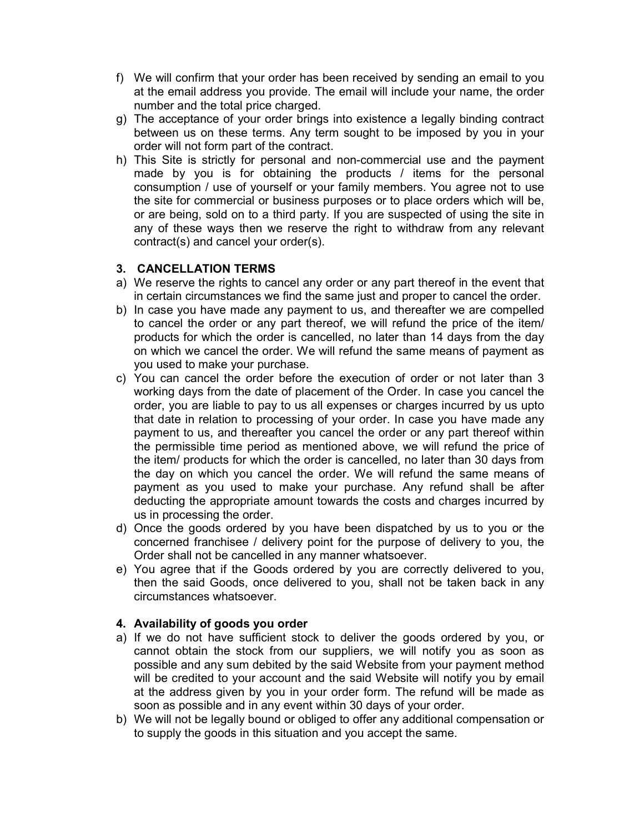- f) We will confirm that your order has been received by sending an email to you at the email address you provide. The email will include your name, the order number and the total price charged.
- g) The acceptance of your order brings into existence a legally binding contract between us on these terms. Any term sought to be imposed by you in your order will not form part of the contract.
- h) This Site is strictly for personal and non-commercial use and the payment made by you is for obtaining the products / items for the personal consumption / use of yourself or your family members. You agree not to use the site for commercial or business purposes or to place orders which will be, or are being, sold on to a third party. If you are suspected of using the site in any of these ways then we reserve the right to withdraw from any relevant contract(s) and cancel your order(s).

# 3. CANCELLATION TERMS

- a) We reserve the rights to cancel any order or any part thereof in the event that in certain circumstances we find the same just and proper to cancel the order.
- b) In case you have made any payment to us, and thereafter we are compelled to cancel the order or any part thereof, we will refund the price of the item/ products for which the order is cancelled, no later than 14 days from the day on which we cancel the order. We will refund the same means of payment as you used to make your purchase.
- c) You can cancel the order before the execution of order or not later than 3 working days from the date of placement of the Order. In case you cancel the order, you are liable to pay to us all expenses or charges incurred by us upto that date in relation to processing of your order. In case you have made any payment to us, and thereafter you cancel the order or any part thereof within the permissible time period as mentioned above, we will refund the price of the item/ products for which the order is cancelled, no later than 30 days from the day on which you cancel the order. We will refund the same means of payment as you used to make your purchase. Any refund shall be after deducting the appropriate amount towards the costs and charges incurred by us in processing the order.
- d) Once the goods ordered by you have been dispatched by us to you or the concerned franchisee / delivery point for the purpose of delivery to you, the Order shall not be cancelled in any manner whatsoever.
- e) You agree that if the Goods ordered by you are correctly delivered to you, then the said Goods, once delivered to you, shall not be taken back in any circumstances whatsoever.

## 4. Availability of goods you order

- a) If we do not have sufficient stock to deliver the goods ordered by you, or cannot obtain the stock from our suppliers, we will notify you as soon as possible and any sum debited by the said Website from your payment method will be credited to your account and the said Website will notify you by email at the address given by you in your order form. The refund will be made as soon as possible and in any event within 30 days of your order.
- b) We will not be legally bound or obliged to offer any additional compensation or to supply the goods in this situation and you accept the same.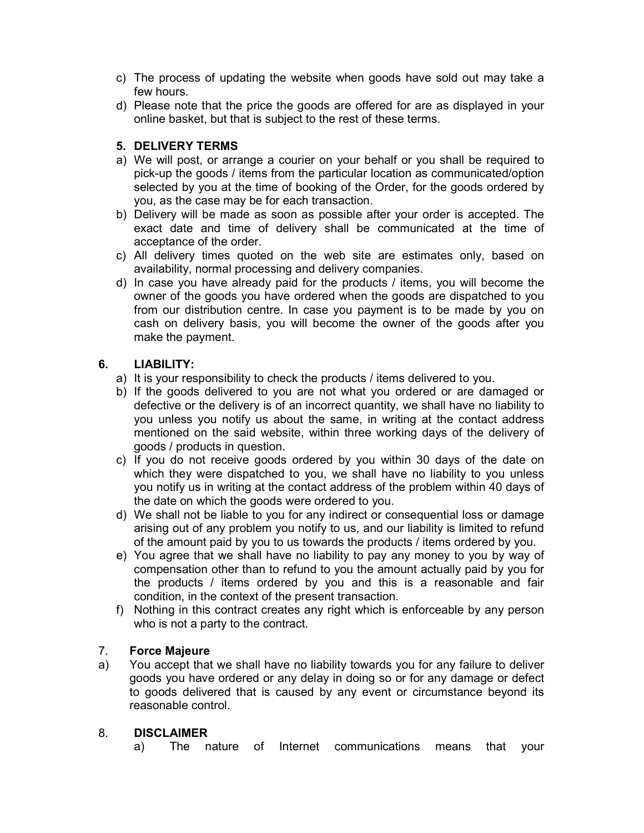- c) The process of updating the website when goods have sold out may take a few hours.
- d) Please note that the price the goods are offered for are as displayed in your online basket, but that is subject to the rest of these terms.

# 5. DELIVERY TERMS

- a) We will post, or arrange a courier on your behalf or you shall be required to pick-up the goods / items from the particular location as communicated/option selected by you at the time of booking of the Order, for the goods ordered by you, as the case may be for each transaction.
- b) Delivery will be made as soon as possible after your order is accepted. The exact date and time of delivery shall be communicated at the time of acceptance of the order.
- c) All delivery times quoted on the web site are estimates only, based on availability, normal processing and delivery companies.
- d) In case you have already paid for the products / items, you will become the owner of the goods you have ordered when the goods are dispatched to you from our distribution centre. In case you payment is to be made by you on cash on delivery basis, you will become the owner of the goods after you make the payment.

# 6. LIABILITY:

- a) It is your responsibility to check the products / items delivered to you.
- b) If the goods delivered to you are not what you ordered or are damaged or defective or the delivery is of an incorrect quantity, we shall have no liability to you unless you notify us about the same, in writing at the contact address mentioned on the said website, within three working days of the delivery of goods / products in question.
- c) If you do not receive goods ordered by you within 30 days of the date on which they were dispatched to you, we shall have no liability to you unless you notify us in writing at the contact address of the problem within 40 days of the date on which the goods were ordered to you.
- d) We shall not be liable to you for any indirect or consequential loss or damage arising out of any problem you notify to us, and our liability is limited to refund of the amount paid by you to us towards the products / items ordered by you.
- e) You agree that we shall have no liability to pay any money to you by way of compensation other than to refund to you the amount actually paid by you for the products / items ordered by you and this is a reasonable and fair condition, in the context of the present transaction.
- f) Nothing in this contract creates any right which is enforceable by any person who is not a party to the contract.

# 7. Force Majeure

a) You accept that we shall have no liability towards you for any failure to deliver goods you have ordered or any delay in doing so or for any damage or defect to goods delivered that is caused by any event or circumstance beyond its reasonable control.

# 8. DISCLAIMER

a) The nature of Internet communications means that your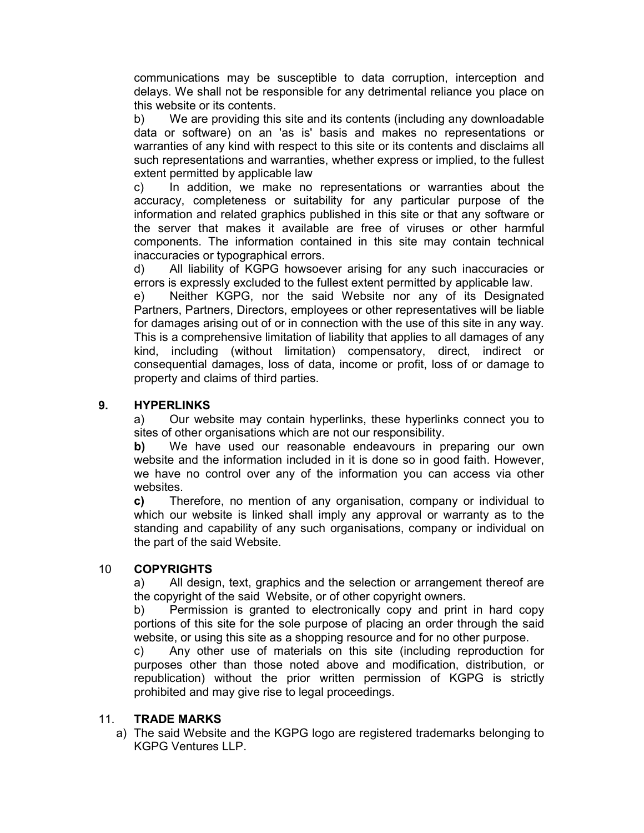communications may be susceptible to data corruption, interception and delays. We shall not be responsible for any detrimental reliance you place on this website or its contents.

b) We are providing this site and its contents (including any downloadable data or software) on an 'as is' basis and makes no representations or warranties of any kind with respect to this site or its contents and disclaims all such representations and warranties, whether express or implied, to the fullest extent permitted by applicable law

c) In addition, we make no representations or warranties about the accuracy, completeness or suitability for any particular purpose of the information and related graphics published in this site or that any software or the server that makes it available are free of viruses or other harmful components. The information contained in this site may contain technical inaccuracies or typographical errors.

d) All liability of KGPG howsoever arising for any such inaccuracies or errors is expressly excluded to the fullest extent permitted by applicable law.

e) Neither KGPG, nor the said Website nor any of its Designated Partners, Partners, Directors, employees or other representatives will be liable for damages arising out of or in connection with the use of this site in any way. This is a comprehensive limitation of liability that applies to all damages of any kind, including (without limitation) compensatory, direct, indirect or consequential damages, loss of data, income or profit, loss of or damage to property and claims of third parties.

# 9. HYPERLINKS

a) Our website may contain hyperlinks, these hyperlinks connect you to sites of other organisations which are not our responsibility.

b) We have used our reasonable endeavours in preparing our own website and the information included in it is done so in good faith. However, we have no control over any of the information you can access via other websites.

c) Therefore, no mention of any organisation, company or individual to which our website is linked shall imply any approval or warranty as to the standing and capability of any such organisations, company or individual on the part of the said Website.

## 10 COPYRIGHTS

a) All design, text, graphics and the selection or arrangement thereof are the copyright of the said Website, or of other copyright owners.

b) Permission is granted to electronically copy and print in hard copy portions of this site for the sole purpose of placing an order through the said website, or using this site as a shopping resource and for no other purpose.

c) Any other use of materials on this site (including reproduction for purposes other than those noted above and modification, distribution, or republication) without the prior written permission of KGPG is strictly prohibited and may give rise to legal proceedings.

#### 11. TRADE MARKS

a) The said Website and the KGPG logo are registered trademarks belonging to KGPG Ventures LLP.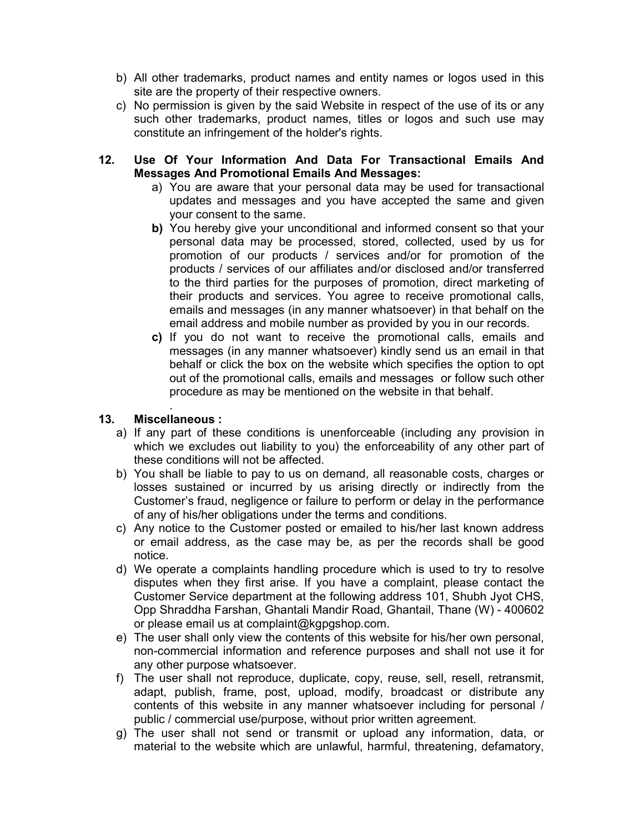- b) All other trademarks, product names and entity names or logos used in this site are the property of their respective owners.
- c) No permission is given by the said Website in respect of the use of its or any such other trademarks, product names, titles or logos and such use may constitute an infringement of the holder's rights.

## 12. Use Of Your Information And Data For Transactional Emails And Messages And Promotional Emails And Messages:

- a) You are aware that your personal data may be used for transactional updates and messages and you have accepted the same and given your consent to the same.
- b) You hereby give your unconditional and informed consent so that your personal data may be processed, stored, collected, used by us for promotion of our products / services and/or for promotion of the products / services of our affiliates and/or disclosed and/or transferred to the third parties for the purposes of promotion, direct marketing of their products and services. You agree to receive promotional calls, emails and messages (in any manner whatsoever) in that behalf on the email address and mobile number as provided by you in our records.
- c) If you do not want to receive the promotional calls, emails and messages (in any manner whatsoever) kindly send us an email in that behalf or click the box on the website which specifies the option to opt out of the promotional calls, emails and messages or follow such other procedure as may be mentioned on the website in that behalf.

#### . 13. Miscellaneous :

- a) If any part of these conditions is unenforceable (including any provision in which we excludes out liability to you) the enforceability of any other part of these conditions will not be affected.
- b) You shall be liable to pay to us on demand, all reasonable costs, charges or losses sustained or incurred by us arising directly or indirectly from the Customer's fraud, negligence or failure to perform or delay in the performance of any of his/her obligations under the terms and conditions.
- c) Any notice to the Customer posted or emailed to his/her last known address or email address, as the case may be, as per the records shall be good notice.
- d) We operate a complaints handling procedure which is used to try to resolve disputes when they first arise. If you have a complaint, please contact the Customer Service department at the following address 101, Shubh Jyot CHS, Opp Shraddha Farshan, Ghantali Mandir Road, Ghantail, Thane (W) - 400602 or please email us at complaint@kgpgshop.com.
- e) The user shall only view the contents of this website for his/her own personal, non-commercial information and reference purposes and shall not use it for any other purpose whatsoever.
- f) The user shall not reproduce, duplicate, copy, reuse, sell, resell, retransmit, adapt, publish, frame, post, upload, modify, broadcast or distribute any contents of this website in any manner whatsoever including for personal / public / commercial use/purpose, without prior written agreement.
- g) The user shall not send or transmit or upload any information, data, or material to the website which are unlawful, harmful, threatening, defamatory,